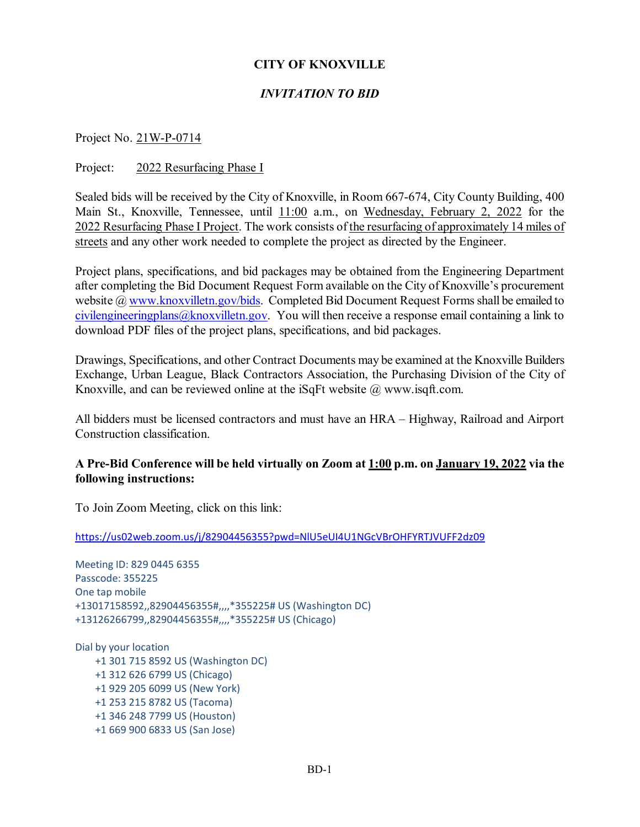# **CITY OF KNOXVILLE**

# *INVITATION TO BID*

Project No. 21W-P-0714

#### Project: 2022 Resurfacing Phase I

Sealed bids will be received by the City of Knoxville, in Room 667-674, City County Building, 400 Main St., Knoxville, Tennessee, until 11:00 a.m., on Wednesday, February 2, 2022 for the 2022 Resurfacing Phase I Project. The work consists of the resurfacing of approximately 14 miles of streets and any other work needed to complete the project as directed by the Engineer.

Project plans, specifications, and bid packages may be obtained from the Engineering Department after completing the Bid Document Request Form available on the City of Knoxville's procurement website [@ www.knoxvilletn.gov/bids.](http://www.knoxvilletn.gov/bids) Completed Bid Document Request Forms shall be emailed to [civilengineeringplans@knoxvilletn.gov.](mailto:civilengineeringplans@knoxvilletn.gov) You will then receive a response email containing a link to download PDF files of the project plans, specifications, and bid packages.

Drawings, Specifications, and other Contract Documents may be examined at the Knoxville Builders Exchange, Urban League, Black Contractors Association, the Purchasing Division of the City of Knoxville, and can be reviewed online at the iSqFt website @ www.isqft.com.

All bidders must be licensed contractors and must have an HRA – Highway, Railroad and Airport Construction classification.

### **A Pre-Bid Conference will be held virtually on Zoom at 1:00 p.m. on January 19, 2022 via the following instructions:**

To Join Zoom Meeting, click on this link:

<https://us02web.zoom.us/j/82904456355?pwd=NlU5eUI4U1NGcVBrOHFYRTJVUFF2dz09>

Meeting ID: 829 0445 6355 Passcode: 355225 One tap mobile +13017158592,,82904456355#,,,,\*355225# US (Washington DC) +13126266799,,82904456355#,,,,\*355225# US (Chicago)

Dial by your location +1 301 715 8592 US (Washington DC) +1 312 626 6799 US (Chicago) +1 929 205 6099 US (New York) +1 253 215 8782 US (Tacoma) +1 346 248 7799 US (Houston) +1 669 900 6833 US (San Jose)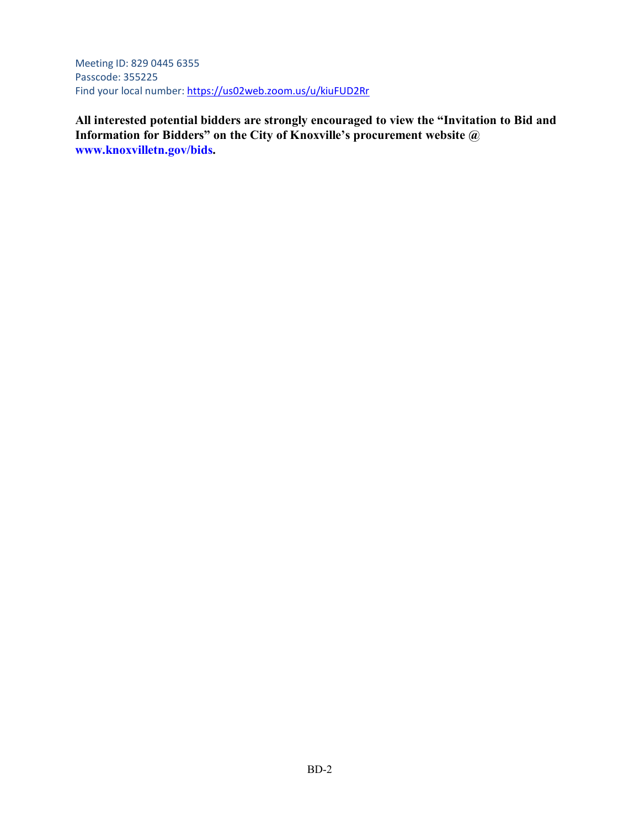Meeting ID: 829 0445 6355 Passcode: 355225 Find your local number:<https://us02web.zoom.us/u/kiuFUD2Rr>

**All interested potential bidders are strongly encouraged to view the "Invitation to Bid and Information for Bidders" on the City of Knoxville's procurement website @ www.knoxvilletn.gov/bids.**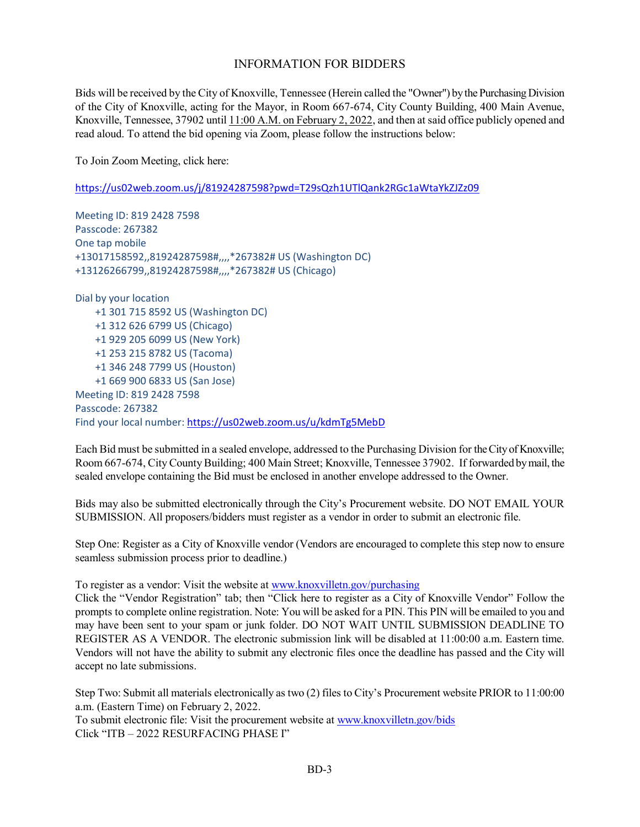### INFORMATION FOR BIDDERS

Bids will be received by the City of Knoxville, Tennessee (Herein called the "Owner") by the Purchasing Division of the City of Knoxville, acting for the Mayor, in Room 667-674, City County Building, 400 Main Avenue, Knoxville, Tennessee, 37902 until 11:00 A.M. on February 2, 2022, and then at said office publicly opened and read aloud. To attend the bid opening via Zoom, please follow the instructions below:

To Join Zoom Meeting, click here:

<https://us02web.zoom.us/j/81924287598?pwd=T29sQzh1UTlQank2RGc1aWtaYkZJZz09>

Meeting ID: 819 2428 7598 Passcode: 267382 One tap mobile +13017158592,,81924287598#,,,,\*267382# US (Washington DC) +13126266799,,81924287598#,,,,\*267382# US (Chicago)

Dial by your location +1 301 715 8592 US (Washington DC) +1 312 626 6799 US (Chicago) +1 929 205 6099 US (New York) +1 253 215 8782 US (Tacoma) +1 346 248 7799 US (Houston) +1 669 900 6833 US (San Jose) Meeting ID: 819 2428 7598 Passcode: 267382 Find your local number:<https://us02web.zoom.us/u/kdmTg5MebD>

Each Bid must be submitted in a sealed envelope, addressed to the Purchasing Division for the City of Knoxville; Room 667-674, City County Building; 400 Main Street; Knoxville, Tennessee 37902. If forwarded by mail, the sealed envelope containing the Bid must be enclosed in another envelope addressed to the Owner.

Bids may also be submitted electronically through the City's Procurement website. DO NOT EMAIL YOUR SUBMISSION. All proposers/bidders must register as a vendor in order to submit an electronic file.

Step One: Register as a City of Knoxville vendor (Vendors are encouraged to complete this step now to ensure seamless submission process prior to deadline.)

To register as a vendor: Visit the website at [www.knoxvilletn.gov/purchasing](http://www.knoxvilletn.gov/purchasing)

Click the "Vendor Registration" tab; then "Click here to register as a City of Knoxville Vendor" Follow the prompts to complete online registration. Note: You will be asked for a PIN. This PIN will be emailed to you and may have been sent to your spam or junk folder. DO NOT WAIT UNTIL SUBMISSION DEADLINE TO REGISTER AS A VENDOR. The electronic submission link will be disabled at 11:00:00 a.m. Eastern time. Vendors will not have the ability to submit any electronic files once the deadline has passed and the City will accept no late submissions.

Step Two: Submit all materials electronically as two (2) files to City's Procurement website PRIOR to 11:00:00 a.m. (Eastern Time) on February 2, 2022. To submit electronic file: Visit the procurement website at [www.knoxvilletn.gov/bids](http://www.knoxvilletn.gov/bids)

Click "ITB – 2022 RESURFACING PHASE I"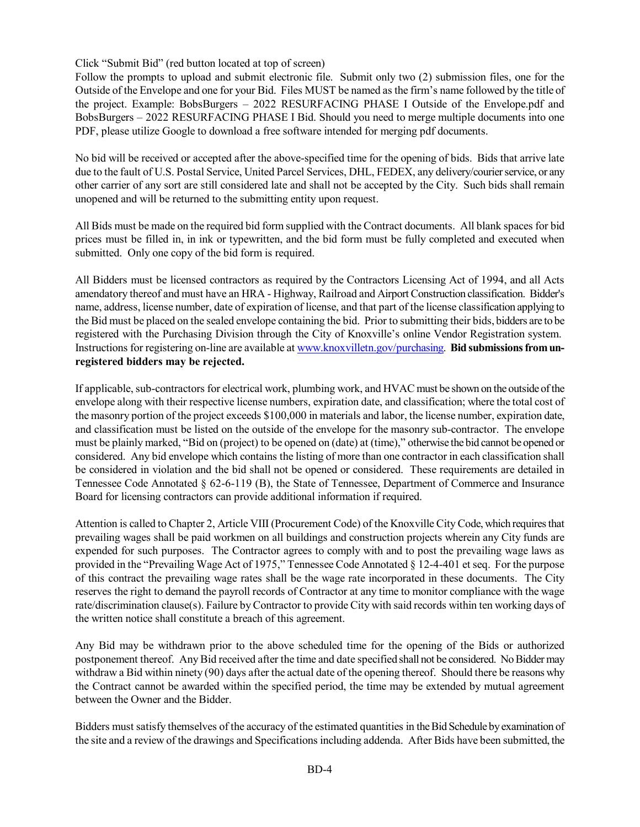Click "Submit Bid" (red button located at top of screen)

Follow the prompts to upload and submit electronic file. Submit only two (2) submission files, one for the Outside of the Envelope and one for your Bid. Files MUST be named as the firm's name followed by the title of the project. Example: BobsBurgers – 2022 RESURFACING PHASE I Outside of the Envelope.pdf and BobsBurgers – 2022 RESURFACING PHASE I Bid. Should you need to merge multiple documents into one PDF, please utilize Google to download a free software intended for merging pdf documents.

No bid will be received or accepted after the above-specified time for the opening of bids. Bids that arrive late due to the fault of U.S. Postal Service, United Parcel Services, DHL, FEDEX, any delivery/courier service, or any other carrier of any sort are still considered late and shall not be accepted by the City. Such bids shall remain unopened and will be returned to the submitting entity upon request.

All Bids must be made on the required bid form supplied with the Contract documents. All blank spaces for bid prices must be filled in, in ink or typewritten, and the bid form must be fully completed and executed when submitted. Only one copy of the bid form is required.

All Bidders must be licensed contractors as required by the Contractors Licensing Act of 1994, and all Acts amendatory thereof and must have an HRA - Highway, Railroad and Airport Construction classification. Bidder's name, address, license number, date of expiration of license, and that part of the license classification applying to the Bid must be placed on the sealed envelope containing the bid. Prior to submitting their bids, bidders are to be registered with the Purchasing Division through the City of Knoxville's online Vendor Registration system. Instructions for registering on-line are available a[t www.knoxvilletn.gov/purchasing.](file://KNOXLAN/Purchasing/Common/PURCHASING%20DOCUMENTS%20AND%20TEMPLATES/ITB%20Template/www.knoxvilletn.gov/purchasing) **Bid submissions from unregistered bidders may be rejected.**

If applicable, sub-contractors for electrical work, plumbing work, and HVAC must be shown on the outside of the envelope along with their respective license numbers, expiration date, and classification; where the total cost of the masonry portion of the project exceeds \$100,000 in materials and labor, the license number, expiration date, and classification must be listed on the outside of the envelope for the masonry sub-contractor. The envelope must be plainly marked, "Bid on (project) to be opened on (date) at (time)," otherwise the bid cannot be opened or considered. Any bid envelope which contains the listing of more than one contractor in each classification shall be considered in violation and the bid shall not be opened or considered. These requirements are detailed in Tennessee Code Annotated § 62-6-119 (B), the State of Tennessee, Department of Commerce and Insurance Board for licensing contractors can provide additional information if required.

Attention is called to Chapter 2, Article VIII (Procurement Code) of the Knoxville City Code, which requires that prevailing wages shall be paid workmen on all buildings and construction projects wherein any City funds are expended for such purposes. The Contractor agrees to comply with and to post the prevailing wage laws as provided in the "Prevailing Wage Act of 1975," Tennessee Code Annotated § 12-4-401 et seq. For the purpose of this contract the prevailing wage rates shall be the wage rate incorporated in these documents. The City reserves the right to demand the payroll records of Contractor at any time to monitor compliance with the wage rate/discrimination clause(s). Failure by Contractor to provide City with said records within ten working days of the written notice shall constitute a breach of this agreement.

Any Bid may be withdrawn prior to the above scheduled time for the opening of the Bids or authorized postponement thereof. Any Bid received after the time and date specified shall not be considered. No Bidder may withdraw a Bid within ninety (90) days after the actual date of the opening thereof. Should there be reasons why the Contract cannot be awarded within the specified period, the time may be extended by mutual agreement between the Owner and the Bidder.

Bidders must satisfy themselves of the accuracy of the estimated quantities in the Bid Schedule by examination of the site and a review of the drawings and Specifications including addenda. After Bids have been submitted, the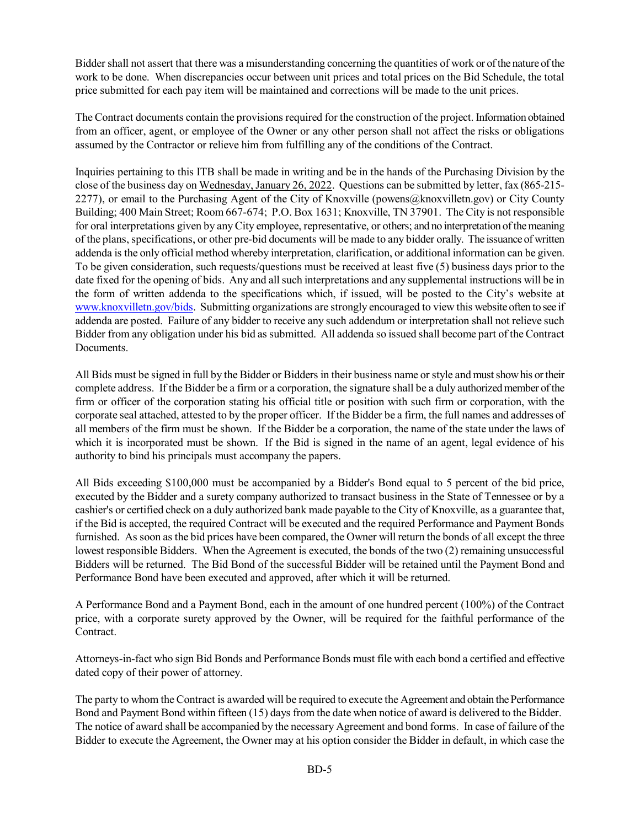Bidder shall not assert that there was a misunderstanding concerning the quantities of work or of the nature of the work to be done. When discrepancies occur between unit prices and total prices on the Bid Schedule, the total price submitted for each pay item will be maintained and corrections will be made to the unit prices.

The Contract documents contain the provisions required for the construction of the project. Information obtained from an officer, agent, or employee of the Owner or any other person shall not affect the risks or obligations assumed by the Contractor or relieve him from fulfilling any of the conditions of the Contract.

Inquiries pertaining to this ITB shall be made in writing and be in the hands of the Purchasing Division by the close of the business day on Wednesday, January 26, 2022. Questions can be submitted by letter, fax (865-215- 2277), or email to the Purchasing Agent of the City of Knoxville (powens@knoxvilletn.gov) or City County Building; 400 Main Street; Room 667-674; P.O. Box 1631; Knoxville, TN 37901. The City is not responsible for oral interpretations given by any City employee, representative, or others; and no interpretation of the meaning of the plans, specifications, or other pre-bid documents will be made to any bidder orally. The issuance of written addenda is the only official method whereby interpretation, clarification, or additional information can be given. To be given consideration, such requests/questions must be received at least five (5) business days prior to the date fixed for the opening of bids. Any and all such interpretations and any supplemental instructions will be in the form of written addenda to the specifications which, if issued, will be posted to the City's website at [www.knoxvilletn.gov/bids.](http://www.knoxvilletn.gov/bids) Submitting organizations are strongly encouraged to view this website often to see if addenda are posted. Failure of any bidder to receive any such addendum or interpretation shall not relieve such Bidder from any obligation under his bid as submitted. All addenda so issued shall become part of the Contract Documents.

All Bids must be signed in full by the Bidder or Bidders in their business name or style and must show his or their complete address. If the Bidder be a firm or a corporation, the signature shall be a duly authorized member of the firm or officer of the corporation stating his official title or position with such firm or corporation, with the corporate seal attached, attested to by the proper officer. If the Bidder be a firm, the full names and addresses of all members of the firm must be shown. If the Bidder be a corporation, the name of the state under the laws of which it is incorporated must be shown. If the Bid is signed in the name of an agent, legal evidence of his authority to bind his principals must accompany the papers.

All Bids exceeding \$100,000 must be accompanied by a Bidder's Bond equal to 5 percent of the bid price, executed by the Bidder and a surety company authorized to transact business in the State of Tennessee or by a cashier's or certified check on a duly authorized bank made payable to the City of Knoxville, as a guarantee that, if the Bid is accepted, the required Contract will be executed and the required Performance and Payment Bonds furnished. As soon as the bid prices have been compared, the Owner will return the bonds of all except the three lowest responsible Bidders. When the Agreement is executed, the bonds of the two (2) remaining unsuccessful Bidders will be returned. The Bid Bond of the successful Bidder will be retained until the Payment Bond and Performance Bond have been executed and approved, after which it will be returned.

A Performance Bond and a Payment Bond, each in the amount of one hundred percent (100%) of the Contract price, with a corporate surety approved by the Owner, will be required for the faithful performance of the Contract.

Attorneys-in-fact who sign Bid Bonds and Performance Bonds must file with each bond a certified and effective dated copy of their power of attorney.

The party to whom the Contract is awarded will be required to execute the Agreement and obtain the Performance Bond and Payment Bond within fifteen (15) days from the date when notice of award is delivered to the Bidder. The notice of award shall be accompanied by the necessary Agreement and bond forms. In case of failure of the Bidder to execute the Agreement, the Owner may at his option consider the Bidder in default, in which case the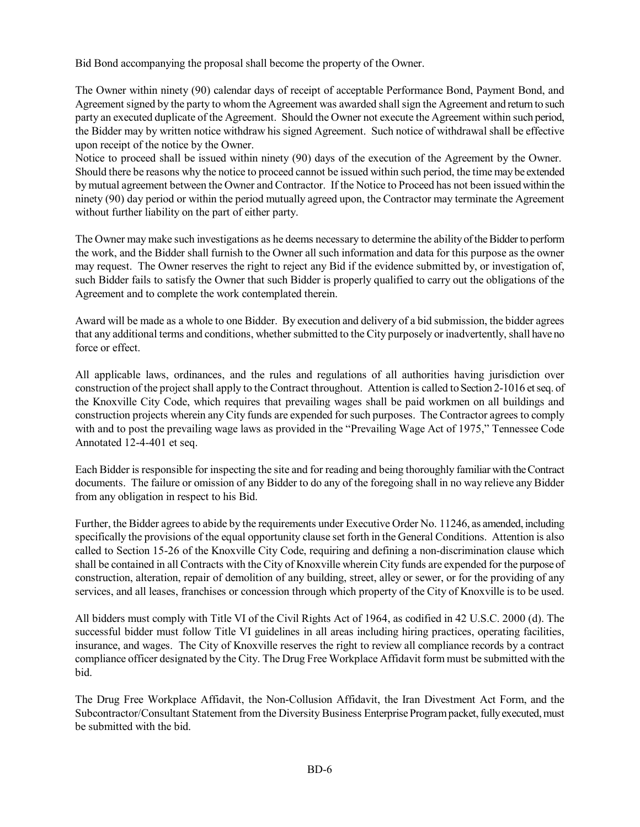Bid Bond accompanying the proposal shall become the property of the Owner.

The Owner within ninety (90) calendar days of receipt of acceptable Performance Bond, Payment Bond, and Agreement signed by the party to whom the Agreement was awarded shall sign the Agreement and return to such party an executed duplicate of the Agreement. Should the Owner not execute the Agreement within such period, the Bidder may by written notice withdraw his signed Agreement. Such notice of withdrawal shall be effective upon receipt of the notice by the Owner.

Notice to proceed shall be issued within ninety (90) days of the execution of the Agreement by the Owner. Should there be reasons why the notice to proceed cannot be issued within such period, the time may be extended by mutual agreement between the Owner and Contractor. If the Notice to Proceed has not been issued within the ninety (90) day period or within the period mutually agreed upon, the Contractor may terminate the Agreement without further liability on the part of either party.

The Owner may make such investigations as he deems necessary to determine the ability of the Bidder to perform the work, and the Bidder shall furnish to the Owner all such information and data for this purpose as the owner may request. The Owner reserves the right to reject any Bid if the evidence submitted by, or investigation of, such Bidder fails to satisfy the Owner that such Bidder is properly qualified to carry out the obligations of the Agreement and to complete the work contemplated therein.

Award will be made as a whole to one Bidder. By execution and delivery of a bid submission, the bidder agrees that any additional terms and conditions, whether submitted to the City purposely or inadvertently, shall have no force or effect.

All applicable laws, ordinances, and the rules and regulations of all authorities having jurisdiction over construction of the project shall apply to the Contract throughout. Attention is called to Section 2-1016 et seq. of the Knoxville City Code, which requires that prevailing wages shall be paid workmen on all buildings and construction projects wherein any City funds are expended for such purposes. The Contractor agrees to comply with and to post the prevailing wage laws as provided in the "Prevailing Wage Act of 1975," Tennessee Code Annotated 12-4-401 et seq.

Each Bidder is responsible for inspecting the site and for reading and being thoroughly familiar with the Contract documents. The failure or omission of any Bidder to do any of the foregoing shall in no way relieve any Bidder from any obligation in respect to his Bid.

Further, the Bidder agrees to abide by the requirements under Executive Order No. 11246, as amended, including specifically the provisions of the equal opportunity clause set forth in the General Conditions. Attention is also called to Section 15-26 of the Knoxville City Code, requiring and defining a non-discrimination clause which shall be contained in all Contracts with the City of Knoxville wherein City funds are expended for the purpose of construction, alteration, repair of demolition of any building, street, alley or sewer, or for the providing of any services, and all leases, franchises or concession through which property of the City of Knoxville is to be used.

All bidders must comply with Title VI of the Civil Rights Act of 1964, as codified in 42 U.S.C. 2000 (d). The successful bidder must follow Title VI guidelines in all areas including hiring practices, operating facilities, insurance, and wages. The City of Knoxville reserves the right to review all compliance records by a contract compliance officer designated by the City. The Drug Free Workplace Affidavit form must be submitted with the bid.

The Drug Free Workplace Affidavit, the Non-Collusion Affidavit, the Iran Divestment Act Form, and the Subcontractor/Consultant Statement from the Diversity Business Enterprise Program packet, fully executed, must be submitted with the bid.